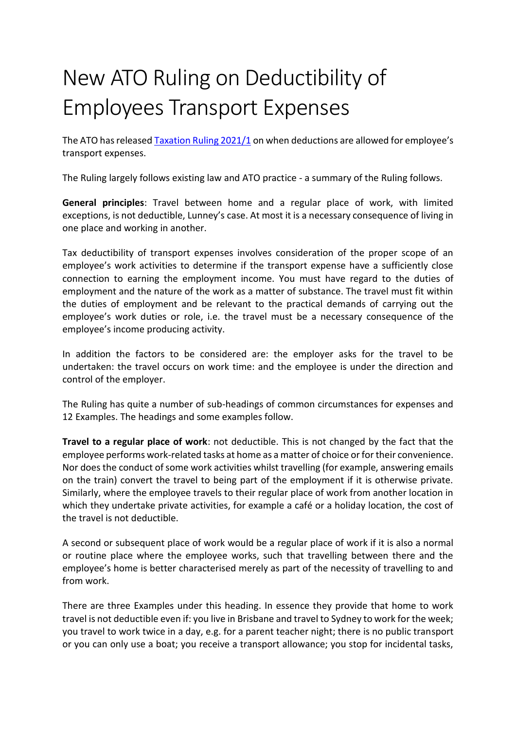## New ATO Ruling on Deductibility of Employees Transport Expenses

The ATO has released [Taxation Ruling 2021/1](https://www.ato.gov.au/law/view/document?LocID=%22TXR%2FTR20211%2FNAT%2FATO%22&PiT=99991231235958) on when deductions are allowed for employee's transport expenses.

The Ruling largely follows existing law and ATO practice - a summary of the Ruling follows.

**General principles**: Travel between home and a regular place of work, with limited exceptions, is not deductible, Lunney's case. At most it is a necessary consequence of living in one place and working in another.

Tax deductibility of transport expenses involves consideration of the proper scope of an employee's work activities to determine if the transport expense have a sufficiently close connection to earning the employment income. You must have regard to the duties of employment and the nature of the work as a matter of substance. The travel must fit within the duties of employment and be relevant to the practical demands of carrying out the employee's work duties or role, i.e. the travel must be a necessary consequence of the employee's income producing activity.

In addition the factors to be considered are: the employer asks for the travel to be undertaken: the travel occurs on work time: and the employee is under the direction and control of the employer.

The Ruling has quite a number of sub-headings of common circumstances for expenses and 12 Examples. The headings and some examples follow.

**Travel to a regular place of work**: not deductible. This is not changed by the fact that the employee performs work-related tasks at home as a matter of choice or for their convenience. Nor does the conduct of some work activities whilst travelling (for example, answering emails on the train) convert the travel to being part of the employment if it is otherwise private. Similarly, where the employee travels to their regular place of work from another location in which they undertake private activities, for example a café or a holiday location, the cost of the travel is not deductible.

A second or subsequent place of work would be a regular place of work if it is also a normal or routine place where the employee works, such that travelling between there and the employee's home is better characterised merely as part of the necessity of travelling to and from work.

There are three Examples under this heading. In essence they provide that home to work travel is not deductible even if: you live in Brisbane and travel to Sydney to work for the week; you travel to work twice in a day, e.g. for a parent teacher night; there is no public transport or you can only use a boat; you receive a transport allowance; you stop for incidental tasks,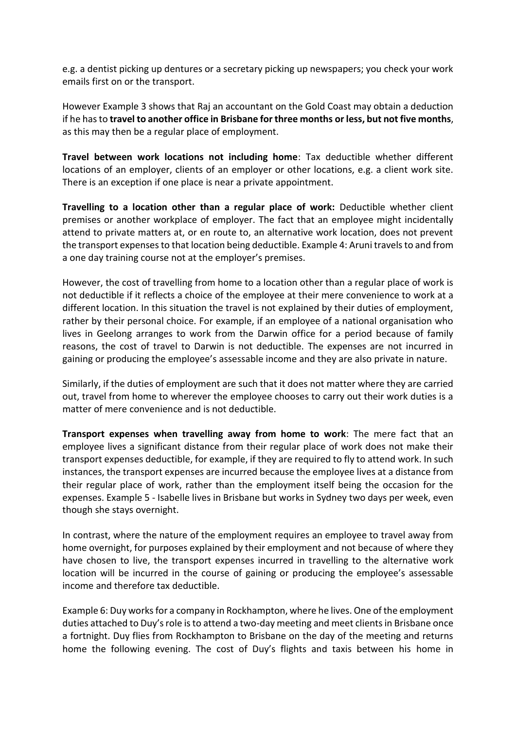e.g. a dentist picking up dentures or a secretary picking up newspapers; you check your work emails first on or the transport.

However Example 3 shows that Raj an accountant on the Gold Coast may obtain a deduction if he has to **travel to another office in Brisbane for three months or less, but not five months**, as this may then be a regular place of employment.

**Travel between work locations not including home**: Tax deductible whether different locations of an employer, clients of an employer or other locations, e.g. a client work site. There is an exception if one place is near a private appointment.

**Travelling to a location other than a regular place of work:** Deductible whether client premises or another workplace of employer. The fact that an employee might incidentally attend to private matters at, or en route to, an alternative work location, does not prevent the transport expenses to that location being deductible. Example 4: Aruni travels to and from a one day training course not at the employer's premises.

However, the cost of travelling from home to a location other than a regular place of work is not deductible if it reflects a choice of the employee at their mere convenience to work at a different location. In this situation the travel is not explained by their duties of employment, rather by their personal choice. For example, if an employee of a national organisation who lives in Geelong arranges to work from the Darwin office for a period because of family reasons, the cost of travel to Darwin is not deductible. The expenses are not incurred in gaining or producing the employee's assessable income and they are also private in nature.

Similarly, if the duties of employment are such that it does not matter where they are carried out, travel from home to wherever the employee chooses to carry out their work duties is a matter of mere convenience and is not deductible.

**Transport expenses when travelling away from home to work**: The mere fact that an employee lives a significant distance from their regular place of work does not make their transport expenses deductible, for example, if they are required to fly to attend work. In such instances, the transport expenses are incurred because the employee lives at a distance from their regular place of work, rather than the employment itself being the occasion for the expenses. Example 5 - Isabelle lives in Brisbane but works in Sydney two days per week, even though she stays overnight.

In contrast, where the nature of the employment requires an employee to travel away from home overnight, for purposes explained by their employment and not because of where they have chosen to live, the transport expenses incurred in travelling to the alternative work location will be incurred in the course of gaining or producing the employee's assessable income and therefore tax deductible.

Example 6: Duy works for a company in Rockhampton, where he lives. One of the employment duties attached to Duy's role is to attend a two-day meeting and meet clients in Brisbane once a fortnight. Duy flies from Rockhampton to Brisbane on the day of the meeting and returns home the following evening. The cost of Duy's flights and taxis between his home in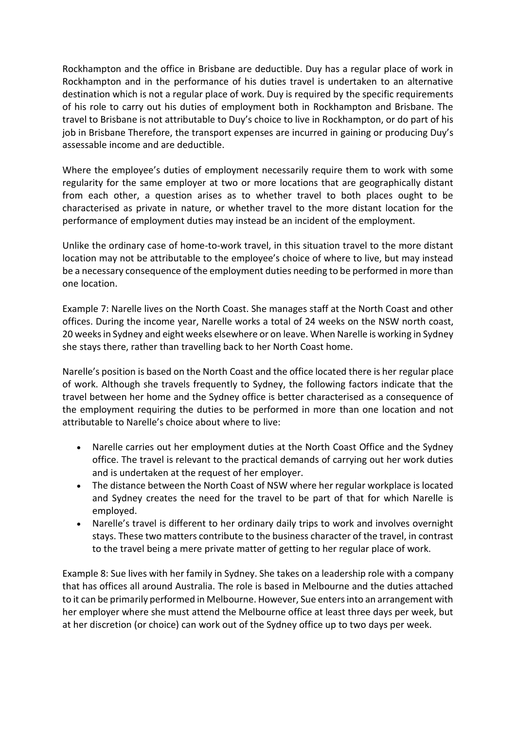Rockhampton and the office in Brisbane are deductible. Duy has a regular place of work in Rockhampton and in the performance of his duties travel is undertaken to an alternative destination which is not a regular place of work. Duy is required by the specific requirements of his role to carry out his duties of employment both in Rockhampton and Brisbane. The travel to Brisbane is not attributable to Duy's choice to live in Rockhampton, or do part of his job in Brisbane Therefore, the transport expenses are incurred in gaining or producing Duy's assessable income and are deductible.

Where the employee's duties of employment necessarily require them to work with some regularity for the same employer at two or more locations that are geographically distant from each other, a question arises as to whether travel to both places ought to be characterised as private in nature, or whether travel to the more distant location for the performance of employment duties may instead be an incident of the employment.

Unlike the ordinary case of home-to-work travel, in this situation travel to the more distant location may not be attributable to the employee's choice of where to live, but may instead be a necessary consequence of the employment duties needing to be performed in more than one location.

Example 7: Narelle lives on the North Coast. She manages staff at the North Coast and other offices. During the income year, Narelle works a total of 24 weeks on the NSW north coast, 20 weeks in Sydney and eight weeks elsewhere or on leave. When Narelle is working in Sydney she stays there, rather than travelling back to her North Coast home.

Narelle's position is based on the North Coast and the office located there is her regular place of work. Although she travels frequently to Sydney, the following factors indicate that the travel between her home and the Sydney office is better characterised as a consequence of the employment requiring the duties to be performed in more than one location and not attributable to Narelle's choice about where to live:

- Narelle carries out her employment duties at the North Coast Office and the Sydney office. The travel is relevant to the practical demands of carrying out her work duties and is undertaken at the request of her employer.
- The distance between the North Coast of NSW where her regular workplace is located and Sydney creates the need for the travel to be part of that for which Narelle is employed.
- Narelle's travel is different to her ordinary daily trips to work and involves overnight stays. These two matters contribute to the business character of the travel, in contrast to the travel being a mere private matter of getting to her regular place of work.

Example 8: Sue lives with her family in Sydney. She takes on a leadership role with a company that has offices all around Australia. The role is based in Melbourne and the duties attached to it can be primarily performed in Melbourne. However, Sue enters into an arrangement with her employer where she must attend the Melbourne office at least three days per week, but at her discretion (or choice) can work out of the Sydney office up to two days per week.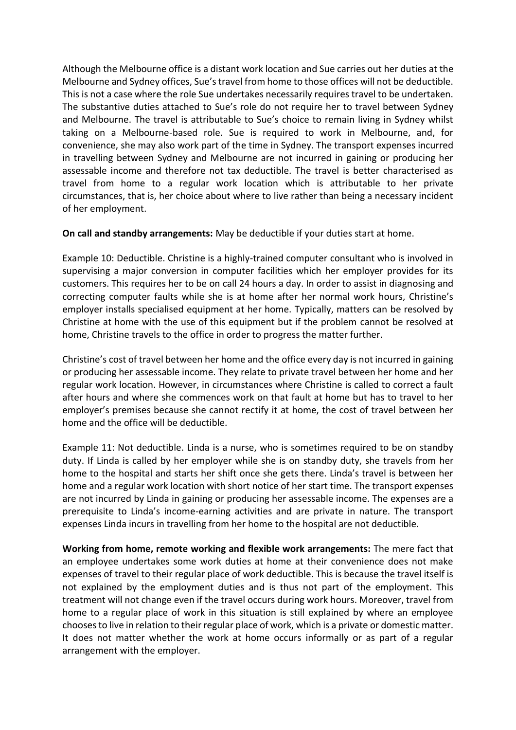Although the Melbourne office is a distant work location and Sue carries out her duties at the Melbourne and Sydney offices, Sue's travel from home to those offices will not be deductible. This is not a case where the role Sue undertakes necessarily requires travel to be undertaken. The substantive duties attached to Sue's role do not require her to travel between Sydney and Melbourne. The travel is attributable to Sue's choice to remain living in Sydney whilst taking on a Melbourne-based role. Sue is required to work in Melbourne, and, for convenience, she may also work part of the time in Sydney. The transport expenses incurred in travelling between Sydney and Melbourne are not incurred in gaining or producing her assessable income and therefore not tax deductible. The travel is better characterised as travel from home to a regular work location which is attributable to her private circumstances, that is, her choice about where to live rather than being a necessary incident of her employment.

**On call and standby arrangements:** May be deductible if your duties start at home.

Example 10: Deductible. Christine is a highly-trained computer consultant who is involved in supervising a major conversion in computer facilities which her employer provides for its customers. This requires her to be on call 24 hours a day. In order to assist in diagnosing and correcting computer faults while she is at home after her normal work hours, Christine's employer installs specialised equipment at her home. Typically, matters can be resolved by Christine at home with the use of this equipment but if the problem cannot be resolved at home, Christine travels to the office in order to progress the matter further.

Christine's cost of travel between her home and the office every day is not incurred in gaining or producing her assessable income. They relate to private travel between her home and her regular work location. However, in circumstances where Christine is called to correct a fault after hours and where she commences work on that fault at home but has to travel to her employer's premises because she cannot rectify it at home, the cost of travel between her home and the office will be deductible.

Example 11: Not deductible. Linda is a nurse, who is sometimes required to be on standby duty. If Linda is called by her employer while she is on standby duty, she travels from her home to the hospital and starts her shift once she gets there. Linda's travel is between her home and a regular work location with short notice of her start time. The transport expenses are not incurred by Linda in gaining or producing her assessable income. The expenses are a prerequisite to Linda's income-earning activities and are private in nature. The transport expenses Linda incurs in travelling from her home to the hospital are not deductible.

**Working from home, remote working and flexible work arrangements:** The mere fact that an employee undertakes some work duties at home at their convenience does not make expenses of travel to their regular place of work deductible. This is because the travel itself is not explained by the employment duties and is thus not part of the employment. This treatment will not change even if the travel occurs during work hours. Moreover, travel from home to a regular place of work in this situation is still explained by where an employee chooses to live in relation to their regular place of work, which is a private or domestic matter. It does not matter whether the work at home occurs informally or as part of a regular arrangement with the employer.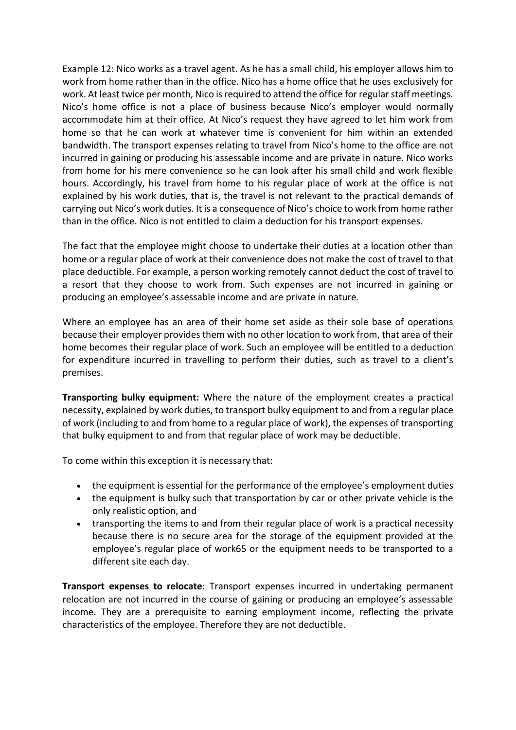Example 12: Nico works as a travel agent. As he has a small child, his employer allows him to work from home rather than in the office. Nico has a home office that he uses exclusively for work. At least twice per month, Nico is required to attend the office for regular staff meetings. Nico's home office is not a place of business because Nico's employer would normally accommodate him at their office. At Nico's request they have agreed to let him work from home so that he can work at whatever time is convenient for him within an extended bandwidth. The transport expenses relating to travel from Nico's home to the office are not incurred in gaining or producing his assessable income and are private in nature. Nico works from home for his mere convenience so he can look after his small child and work flexible hours. Accordingly, his travel from home to his regular place of work at the office is not explained by his work duties, that is, the travel is not relevant to the practical demands of carrying out Nico's work duties. It is a consequence of Nico's choice to work from home rather than in the office. Nico is not entitled to claim a deduction for his transport expenses.

The fact that the employee might choose to undertake their duties at a location other than home or a regular place of work at their convenience does not make the cost of travel to that place deductible. For example, a person working remotely cannot deduct the cost of travel to a resort that they choose to work from. Such expenses are not incurred in gaining or producing an employee's assessable income and are private in nature.

Where an employee has an area of their home set aside as their sole base of operations because their employer provides them with no other location to work from, that area of their home becomes their regular place of work. Such an employee will be entitled to a deduction for expenditure incurred in travelling to perform their duties, such as travel to a client's premises.

**Transporting bulky equipment:** Where the nature of the employment creates a practical necessity, explained by work duties, to transport bulky equipment to and from a regular place of work (including to and from home to a regular place of work), the expenses of transporting that bulky equipment to and from that regular place of work may be deductible.

To come within this exception it is necessary that:

- the equipment is essential for the performance of the employee's employment duties
- the equipment is bulky such that transportation by car or other private vehicle is the only realistic option, and
- transporting the items to and from their regular place of work is a practical necessity because there is no secure area for the storage of the equipment provided at the employee's regular place of work65 or the equipment needs to be transported to a different site each day.

**Transport expenses to relocate**: Transport expenses incurred in undertaking permanent relocation are not incurred in the course of gaining or producing an employee's assessable income. They are a prerequisite to earning employment income, reflecting the private characteristics of the employee. Therefore they are not deductible.